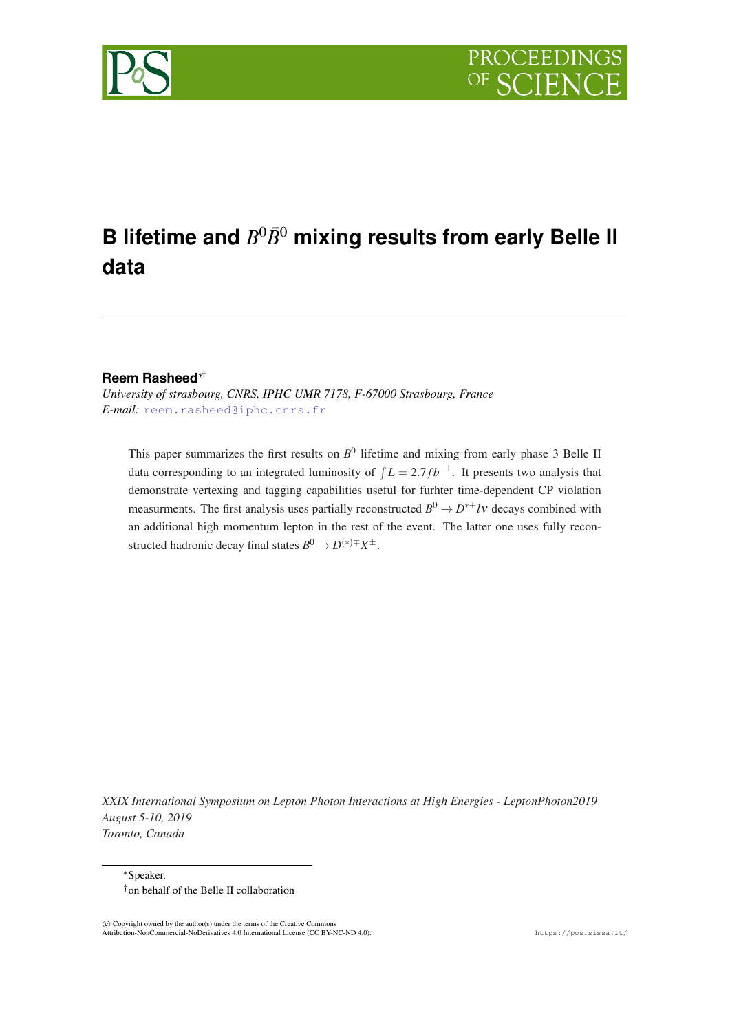



# **B** lifetime and  $B^0\bar{B}^0$  mixing results from early Belle II **data**

### **Reem Rasheed**∗†

*University of strasbourg, CNRS, IPHC UMR 7178, F-67000 Strasbourg, France E-mail:* [reem.rasheed@iphc.cnrs.fr](mailto:reem.rasheed@iphc.cnrs.fr)

This paper summarizes the first results on  $B^0$  lifetime and mixing from early phase 3 Belle II data corresponding to an integrated luminosity of  $\int L = 2.7 fb^{-1}$ . It presents two analysis that demonstrate vertexing and tagging capabilities useful for furhter time-dependent CP violation measurments. The first analysis uses partially reconstructed  $B^0 \to D^{*+}l\nu$  decays combined with an additional high momentum lepton in the rest of the event. The latter one uses fully reconstructed hadronic decay final states  $B^0 \to D^{(*)\mp} X^{\pm}$ .

*XXIX International Symposium on Lepton Photon Interactions at High Energies - LeptonPhoton2019 August 5-10, 2019 Toronto, Canada*

<sup>∗</sup>Speaker. †on behalf of the Belle II collaboration

 $\overline{c}$  Copyright owned by the author(s) under the terms of the Creative Common Attribution-NonCommercial-NoDerivatives 4.0 International License (CC BY-NC-ND 4.0). https://pos.sissa.it/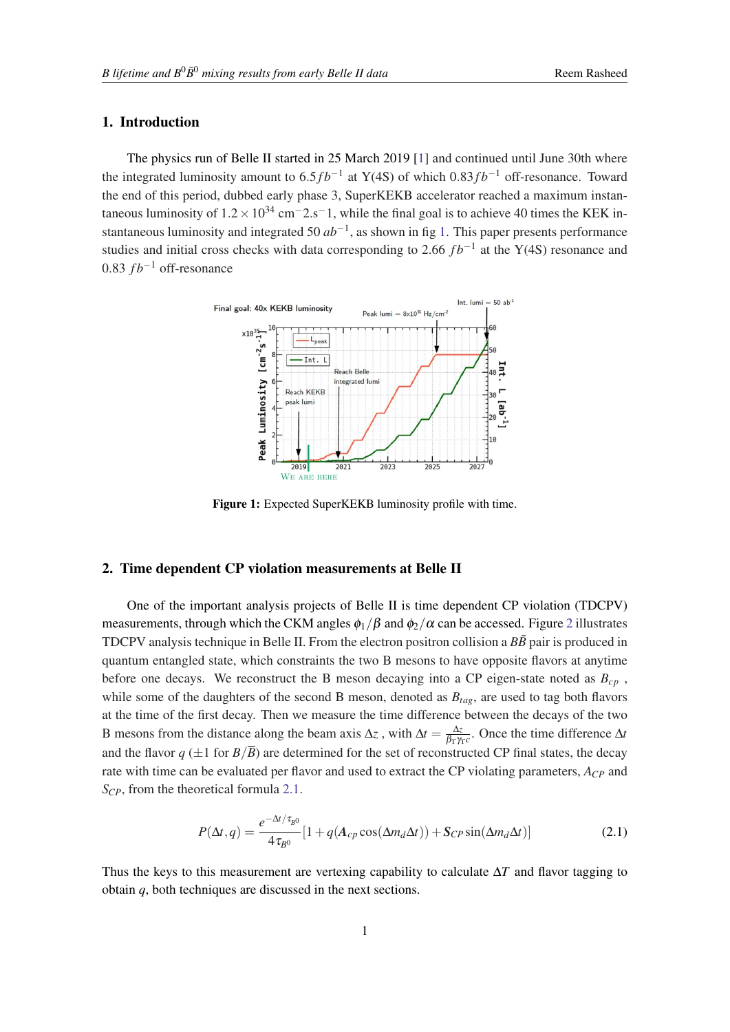## 1. Introduction

The physics run of Belle II started in 25 March 2019 [[1](#page-6-0)] and continued until June 30th where the integrated luminosity amount to 6.5 $fb^{-1}$  at Y(4S) of which 0.83 $fb^{-1}$  off-resonance. Toward the end of this period, dubbed early phase 3, SuperKEKB accelerator reached a maximum instantaneous luminosity of  $1.2 \times 10^{34}$  cm<sup>-</sup>2.s<sup>-</sup>1, while the final goal is to achieve 40 times the KEK instantaneous luminosity and integrated 50 *ab*−<sup>1</sup> , as shown in fig 1. This paper presents performance studies and initial cross checks with data corresponding to 2.66  $fb^{-1}$  at the Y(4S) resonance and 0.83  $fb^{-1}$  off-resonance



Figure 1: Expected SuperKEKB luminosity profile with time.

# 2. Time dependent CP violation measurements at Belle II

One of the important analysis projects of Belle II is time dependent CP violation (TDCPV) measurements, through which the CKM angles  $\phi_1/\beta$  and  $\phi_2/\alpha$  $\phi_2/\alpha$  $\phi_2/\alpha$  can be accessed. Figure 2 illustrates TDCPV analysis technique in Belle II. From the electron positron collision a  $B\bar{B}$  pair is produced in quantum entangled state, which constraints the two B mesons to have opposite flavors at anytime before one decays. We reconstruct the B meson decaying into a CP eigen-state noted as  $B_{cn}$ , while some of the daughters of the second B meson, denoted as *Btag*, are used to tag both flavors at the time of the first decay. Then we measure the time difference between the decays of the two B mesons from the distance along the beam axis  $\Delta z$ , with  $\Delta t = \frac{\Delta z}{\beta r}$  $\frac{\Delta z}{\beta_Y \gamma_T c}$ . Once the time difference  $\Delta t$ and the flavor  $q \pm 1$  for  $B/\overline{B}$ ) are determined for the set of reconstructed CP final states, the decay rate with time can be evaluated per flavor and used to extract the CP violating parameters, *ACP* and *SCP*, from the theoretical formula 2.1.

$$
P(\Delta t, q) = \frac{e^{-\Delta t/\tau_{B^0}}}{4\tau_{B^0}} [1 + q(A_{cp}\cos(\Delta m_d \Delta t)) + S_{CP}\sin(\Delta m_d \Delta t)]
$$
 (2.1)

Thus the keys to this measurement are vertexing capability to calculate  $\Delta T$  and flavor tagging to obtain *q*, both techniques are discussed in the next sections.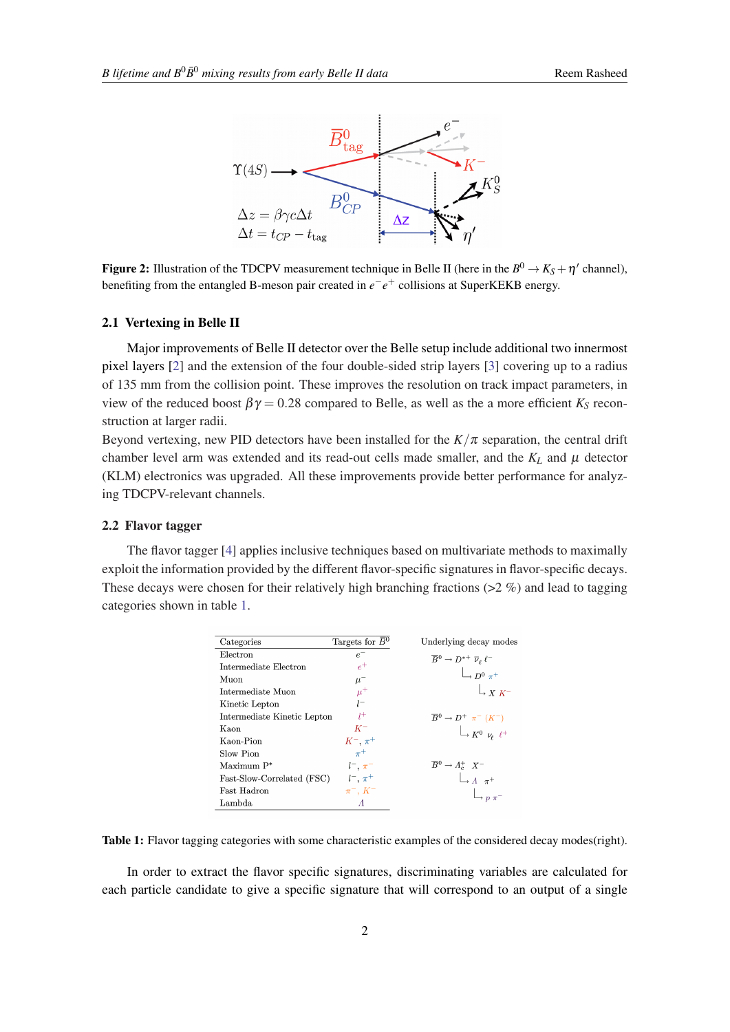<span id="page-2-0"></span>

Figure 2: Illustration of the TDCPV measurement technique in Belle II (here in the  $B^0 \to K_S + \eta'$  channel), benefiting from the entangled B-meson pair created in  $e^-e^+$  collisions at SuperKEKB energy.

#### 2.1 Vertexing in Belle II

Major improvements of Belle II detector over the Belle setup include additional two innermost pixel layers [[2](#page-7-0)] and the extension of the four double-sided strip layers [\[3\]](#page-7-0) covering up to a radius of 135 mm from the collision point. These improves the resolution on track impact parameters, in view of the reduced boost  $\beta \gamma = 0.28$  compared to Belle, as well as the a more efficient  $K_S$  reconstruction at larger radii.

Beyond vertexing, new PID detectors have been installed for the  $K/\pi$  separation, the central drift chamber level arm was extended and its read-out cells made smaller, and the  $K_L$  and  $\mu$  detector (KLM) electronics was upgraded. All these improvements provide better performance for analyzing TDCPV-relevant channels.

#### 2.2 Flavor tagger

The flavor tagger [[4](#page-7-0)] applies inclusive techniques based on multivariate methods to maximally exploit the information provided by the different flavor-specific signatures in flavor-specific decays. These decays were chosen for their relatively high branching fractions ( $>2\%$ ) and lead to tagging categories shown in table 1.

| Categories                  | Targets for $\bar{B}^0$ | Underlying decay modes                                                                                                           |
|-----------------------------|-------------------------|----------------------------------------------------------------------------------------------------------------------------------|
| Electron                    | $e^-$                   | $\overline{B}^0 \to D^{*+} \overline{\nu}_{\ell} \ell^-$                                                                         |
| Intermediate Electron       | $e^+$                   | $\Box_{D^0 \pi^+}$                                                                                                               |
| Muon                        | $\mu^-$                 |                                                                                                                                  |
| Intermediate Muon           | $\mu^+$                 | $\mathcal{L}_{X,K^-}$                                                                                                            |
| Kinetic Lepton              | $l^-$                   |                                                                                                                                  |
| Intermediate Kinetic Lepton | $l^+$                   |                                                                                                                                  |
| Kaon                        | $K^-$                   | $\begin{array}{ccc}\overline{B}^0\rightarrow D^+ & \pi^-~(K^-)\\ & & \\ \downarrow & & \\ K^0~ & \nu_\ell~~\ell^+\\ \end{array}$ |
| Kaon-Pion                   | $K^-$ , $\pi^+$         |                                                                                                                                  |
| Slow Pion                   | $\pi^+$                 |                                                                                                                                  |
| Maximum P*                  | $l^{-}$ , $\pi^{-}$     | $\overline{B}{}^0 \rightarrow A_c^+ X^-$                                                                                         |
| Fast-Slow-Correlated (FSC)  | $l^{-}, \pi^{+}$        | $\Box$ $\pi^+$                                                                                                                   |
| Fast Hadron                 | $\pi^-$ , $K^-$         |                                                                                                                                  |
| Lambda                      | Λ                       |                                                                                                                                  |

Table 1: Flavor tagging categories with some characteristic examples of the considered decay modes(right).

In order to extract the flavor specific signatures, discriminating variables are calculated for each particle candidate to give a specific signature that will correspond to an output of a single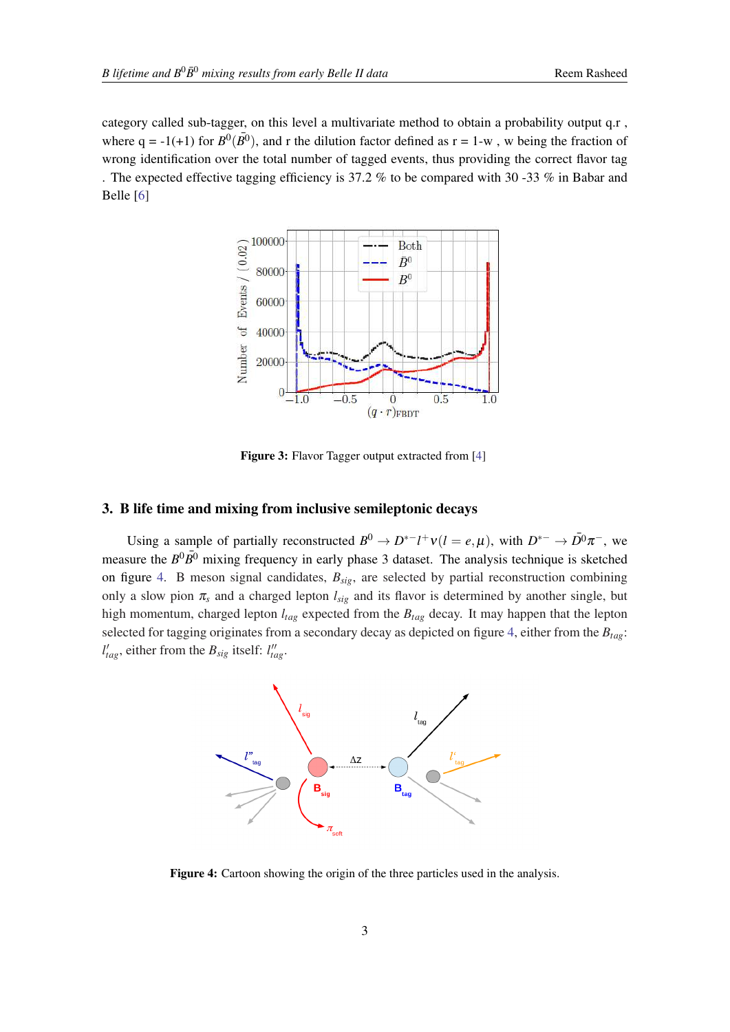category called sub-tagger, on this level a multivariate method to obtain a probability output q.r, where  $q = -1(+1)$  for  $B^0(\overline{B^0})$ , and r the dilution factor defined as  $r = 1-w$ , w being the fraction of wrong identification over the total number of tagged events, thus providing the correct flavor tag . The expected effective tagging efficiency is 37.2 % to be compared with 30 -33 % in Babar and Belle [[6](#page-7-0)]



Figure 3: Flavor Tagger output extracted from [\[4](#page-7-0)]

## 3. B life time and mixing from inclusive semileptonic decays

Using a sample of partially reconstructed  $B^0 \to D^{*-}l^+v(l = e, \mu)$ , with  $D^{*-} \to \overline{D}{}^0 \pi^-$ , we measure the  $B^0 \overline{B^0}$  mixing frequency in early phase 3 dataset. The analysis technique is sketched on figure 4. B meson signal candidates, *Bsig*, are selected by partial reconstruction combining only a slow pion  $\pi_s$  and a charged lepton  $l_{sig}$  and its flavor is determined by another single, but high momentum, charged lepton *ltag* expected from the *Btag* decay. It may happen that the lepton selected for tagging originates from a secondary decay as depicted on figure 4, either from the *Btag*:  $l'_{tag}$ , either from the  $B_{sig}$  itself:  $l''_{tag}$ .



Figure 4: Cartoon showing the origin of the three particles used in the analysis.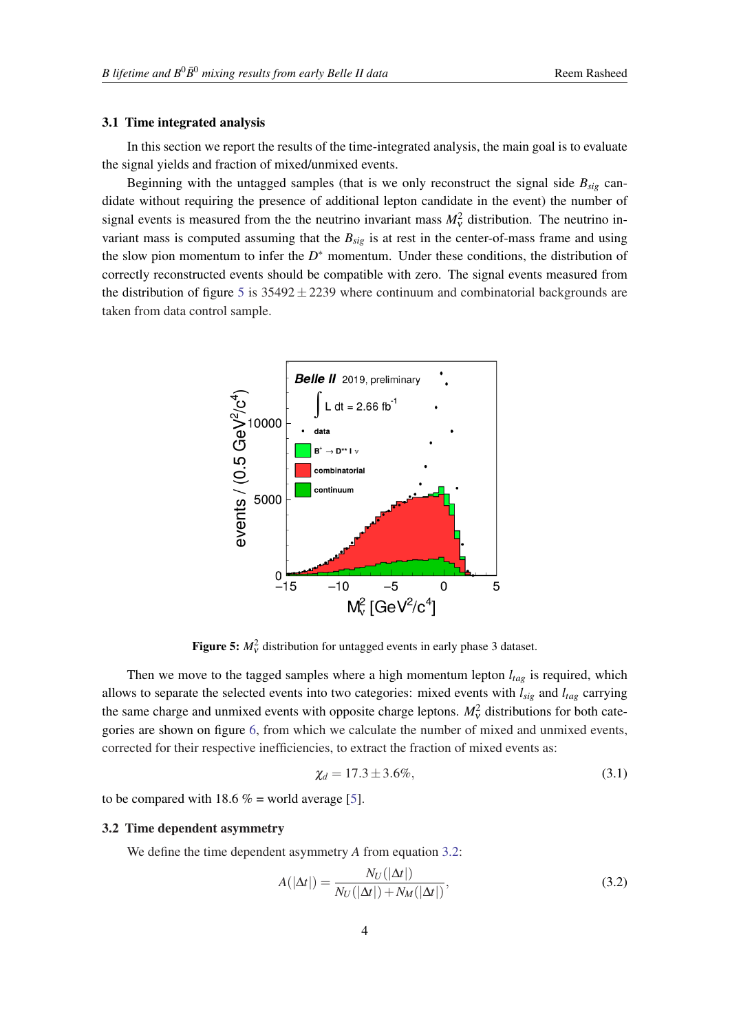#### 3.1 Time integrated analysis

In this section we report the results of the time-integrated analysis, the main goal is to evaluate the signal yields and fraction of mixed/unmixed events.

Beginning with the untagged samples (that is we only reconstruct the signal side  $B_{sig}$  candidate without requiring the presence of additional lepton candidate in the event) the number of signal events is measured from the the neutrino invariant mass  $M_v^2$  distribution. The neutrino invariant mass is computed assuming that the *Bsig* is at rest in the center-of-mass frame and using the slow pion momentum to infer the  $D^*$  momentum. Under these conditions, the distribution of correctly reconstructed events should be compatible with zero. The signal events measured from the distribution of figure 5 is  $35492 \pm 2239$  where continuum and combinatorial backgrounds are taken from data control sample.



**Figure 5:**  $M_v^2$  distribution for untagged events in early phase 3 dataset.

Then we move to the tagged samples where a high momentum lepton *ltag* is required, which allows to separate the selected events into two categories: mixed events with *lsig* and *ltag* carrying the same charge and unmixed events with opposite charge leptons.  $M_v^2$  distributions for both categories are shown on figure [6,](#page-5-0) from which we calculate the number of mixed and unmixed events, corrected for their respective inefficiencies, to extract the fraction of mixed events as:

$$
\chi_d = 17.3 \pm 3.6\%,\tag{3.1}
$$

to be compared with 18.6  $% =$  world average [[5](#page-7-0)].

#### 3.2 Time dependent asymmetry

We define the time dependent asymmetry *A* from equation 3.2:

$$
A(|\Delta t|) = \frac{N_U(|\Delta t|)}{N_U(|\Delta t|) + N_M(|\Delta t|)},
$$
\n(3.2)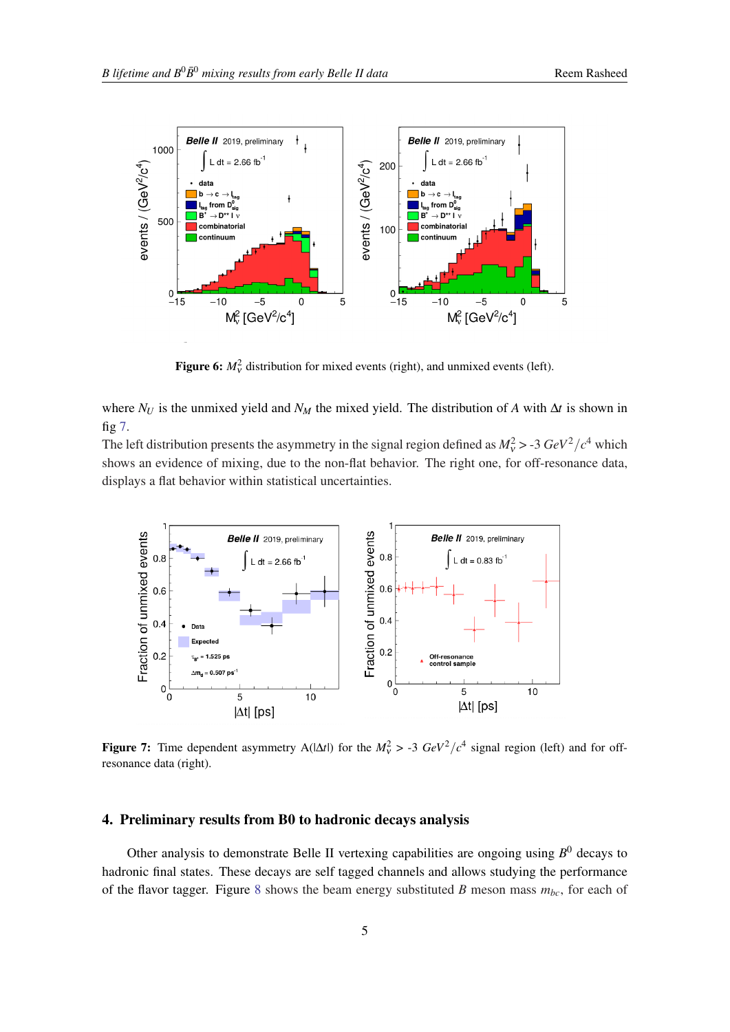<span id="page-5-0"></span>

**Figure 6:**  $M_v^2$  distribution for mixed events (right), and unmixed events (left).

where  $N_U$  is the unmixed yield and  $N_M$  the mixed yield. The distribution of *A* with  $\Delta t$  is shown in fig 7.

The left distribution presents the asymmetry in the signal region defined as  $M_v^2 > -3 \text{ GeV}^2/c^4$  which shows an evidence of mixing, due to the non-flat behavior. The right one, for off-resonance data, displays a flat behavior within statistical uncertainties.



**Figure 7:** Time dependent asymmetry A( $|\Delta t|$ ) for the  $M_v^2 > -3$   $GeV^2/c^4$  signal region (left) and for offresonance data (right).

#### 4. Preliminary results from B0 to hadronic decays analysis

Other analysis to demonstrate Belle II vertexing capabilities are ongoing using *B* <sup>0</sup> decays to hadronic final states. These decays are self tagged channels and allows studying the performance of the flavor tagger. Figure [8](#page-6-0) shows the beam energy substituted *B* meson mass  $m_{bc}$ , for each of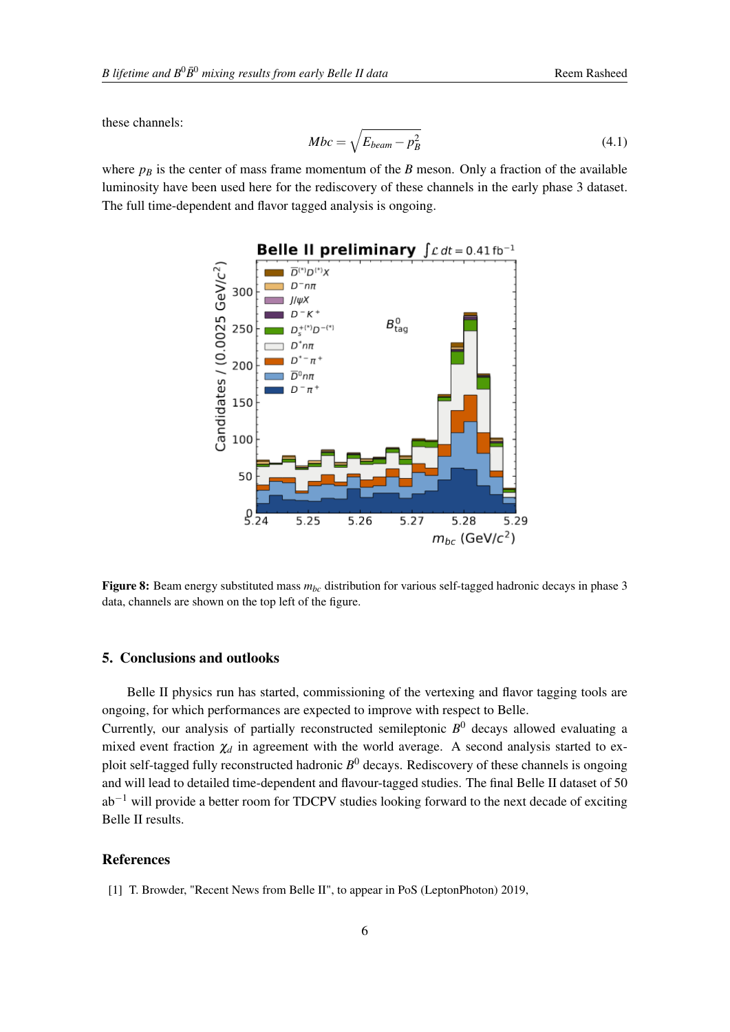<span id="page-6-0"></span>these channels:

$$
Mbc = \sqrt{E_{beam} - p_B^2} \tag{4.1}
$$

where  $p_B$  is the center of mass frame momentum of the *B* meson. Only a fraction of the available luminosity have been used here for the rediscovery of these channels in the early phase 3 dataset. The full time-dependent and flavor tagged analysis is ongoing.



Figure 8: Beam energy substituted mass  $m_{bc}$  distribution for various self-tagged hadronic decays in phase 3 data, channels are shown on the top left of the figure.

### 5. Conclusions and outlooks

Belle II physics run has started, commissioning of the vertexing and flavor tagging tools are ongoing, for which performances are expected to improve with respect to Belle.

Currently, our analysis of partially reconstructed semileptonic *B* <sup>0</sup> decays allowed evaluating a mixed event fraction  $\chi_d$  in agreement with the world average. A second analysis started to exploit self-tagged fully reconstructed hadronic *B* <sup>0</sup> decays. Rediscovery of these channels is ongoing and will lead to detailed time-dependent and flavour-tagged studies. The final Belle II dataset of 50  $ab^{-1}$  will provide a better room for TDCPV studies looking forward to the next decade of exciting Belle II results.

## References

[1] T. Browder, "Recent News from Belle II", to appear in PoS (LeptonPhoton) 2019,